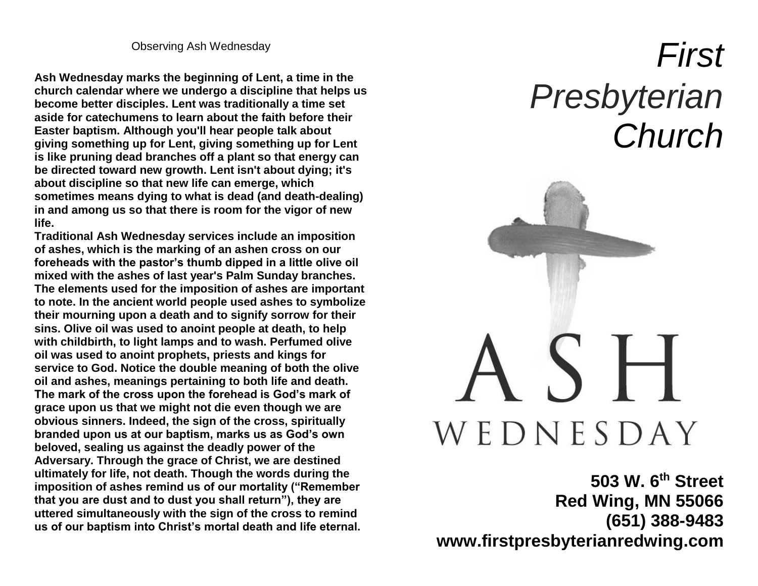Observing Ash Wednesday

**Ash Wednesday marks the beginning of Lent, a time in the church calendar where we undergo a discipline that helps us become better disciples. Lent was traditionally a time set aside for catechumens to learn about the faith before their Easter baptism. Although you'll hear people talk about giving something up for Lent, giving something up for Lent is like pruning dead branches off a plant so that energy can be directed toward new growth. Lent isn't about dying; it's about discipline so that new life can emerge, which sometimes means dying to what is dead (and death-dealing) in and among us so that there is room for the vigor of new life.** 

**Traditional Ash Wednesday services include an imposition of ashes, which is the marking of an ashen cross on our foreheads with the pastor's thumb dipped in a little olive oil mixed with the ashes of last year's Palm Sunday branches. The elements used for the imposition of ashes are important to note. In the ancient world people used ashes to symbolize their mourning upon a death and to signify sorrow for their sins. Olive oil was used to anoint people at death, to help with childbirth, to light lamps and to wash. Perfumed olive oil was used to anoint prophets, priests and kings for service to God. Notice the double meaning of both the olive oil and ashes, meanings pertaining to both life and death. The mark of the cross upon the forehead is God's mark of grace upon us that we might not die even though we are obvious sinners. Indeed, the sign of the cross, spiritually branded upon us at our baptism, marks us as God's own beloved, sealing us against the deadly power of the Adversary. Through the grace of Christ, we are destined ultimately for life, not death. Though the words during the imposition of ashes remind us of our mortality ("Remember that you are dust and to dust you shall return"), they are uttered simultaneously with the sign of the cross to remind us of our baptism into Christ's mortal death and life eternal.** 

# *First Presbyterian Church*



**503 W. 6th Street Red Wing, MN 55066 (651) 388-9483 www.firstpresbyterianredwing.com**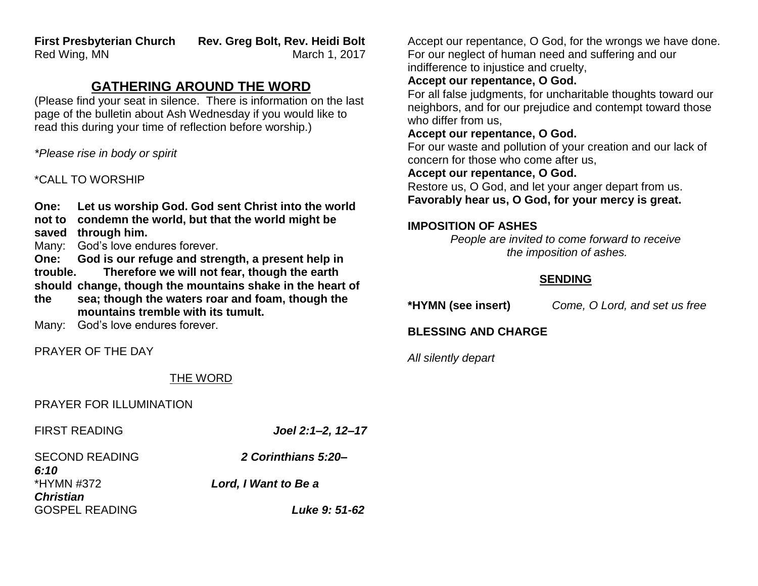**First Presbyterian Church Rev. Greg Bolt, Rev. Heidi Bolt** Red Wing, MN New York 1, 2017

# **GATHERING AROUND THE WORD**

(Please find your seat in silence. There is information on the last page of the bulletin about Ash Wednesday if you would like to read this during your time of reflection before worship.)

*\*Please rise in body or spirit*

#### \*CALL TO WORSHIP

**One: Let us worship God. God sent Christ into the world** 

- **not to condemn the world, but that the world might be**
- **saved through him.**
- Many: God's love endures forever.

**One: God is our refuge and strength, a present help in trouble. Therefore we will not fear, though the earth should change, though the mountains shake in the heart of** 

**the sea; though the waters roar and foam, though the mountains tremble with its tumult.**

Many: God's love endures forever.

PRAYER OF THE DAY

## THE WORD

#### PRAYER FOR ILLUMINATION

FIRST READING *Joel 2:1–2, 12–17*

SECOND READING *2 Corinthians 5:20– 6:10* \*HYMN #372 *Lord, I Want to Be a Christian* GOSPEL READING *Luke 9: 51-62*

Accept our repentance, O God, for the wrongs we have done. For our neglect of human need and suffering and our indifference to injustice and cruelty,

# **Accept our repentance, O God.**

For all false judgments, for uncharitable thoughts toward our neighbors, and for our prejudice and contempt toward those who differ from us,

#### **Accept our repentance, O God.**

For our waste and pollution of your creation and our lack of concern for those who come after us,

#### **Accept our repentance, O God.**

Restore us, O God, and let your anger depart from us. **Favorably hear us, O God, for your mercy is great.** 

#### **IMPOSITION OF ASHES**

*People are invited to come forward to receive the imposition of ashes.*

# **SENDING**

**\*HYMN (see insert)** *Come, O Lord, and set us free*

# **BLESSING AND CHARGE**

*All silently depart*